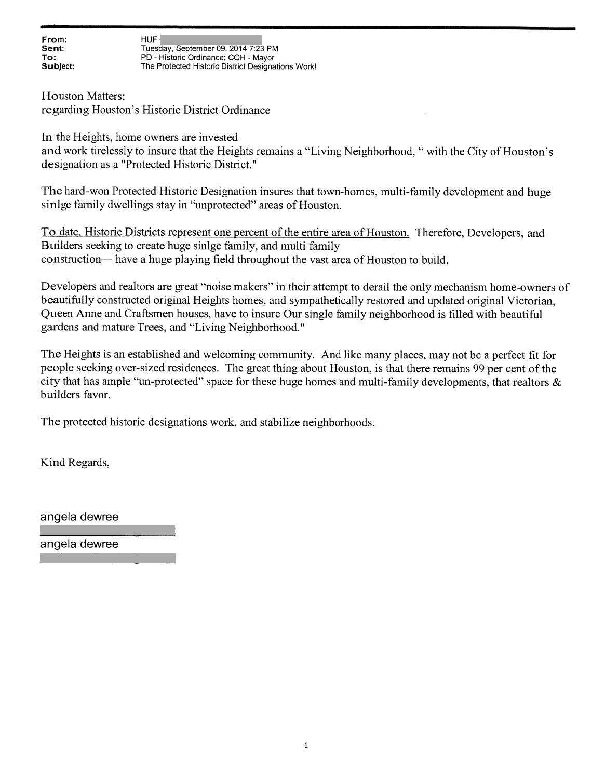From:  $HUF$  and  $HUF$  and  $HUF$  and  $H''$ Sent: Tuesday, September 09, 2014 7:23 PM<br>To: The PD - Historic Ordinance: COH - Mayor To: PD - Historic Ordinance; COH - Mayor<br>
Subject: The Protected Historic District Designa The Protected Historic District Designations Work!

Houston Matters: regarding Houston's Historic District Ordinance

In the Heights, home owners are invested

and work tirelessly to insure that the Heights remains <sup>a</sup> "Living Neighborhood, "with the City of Houston's designation as <sup>a</sup> "Protected Historic District."

The hard-won Protected Historic Designation insures that town-homes, multi-family development and huge sinige family dwellings stay in "unprotected" areas of Houston.

To date, Historic Districts represen<sup>t</sup> one percen<sup>t</sup> of the entire area of Houston. Therefore, Developers, and Builders seeking to create huge sinige family, and multi family construction— have <sup>a</sup> huge playing field throughout the vast area of Houston to build.

Developers and realtors are grea<sup>t</sup> "noise makers" in their attempt to derail the only mechanism home-owners of beautifully constructed original Heights homes, and sympathetically restored and updated original Victorian, Queen Anne and Craftsmen houses, have to insure Our single family neighborhood is filled with beautiful gardens and mature Trees, and "Living Neighborhood."

The Heights is an established and welcoming community. And like many <sup>p</sup>laces, may not be <sup>a</sup> perfect fit for people seeking over-sized residences. The great thing about Houston, is that there remains 99 per cent of the city that has ample "un-protected" space for these huge homes and multi-family developments, that realtors & builders favor.

The protected historic designations work, and stabilize neighborhoods.

Kind Regards,

angela dewree

angela dewree

desicinandinsiire(att.net/www.com/www.com/www.com/www.com/www.com/www.com/www.com/www.com/www.com/www.com/www.

designandinspire@att.net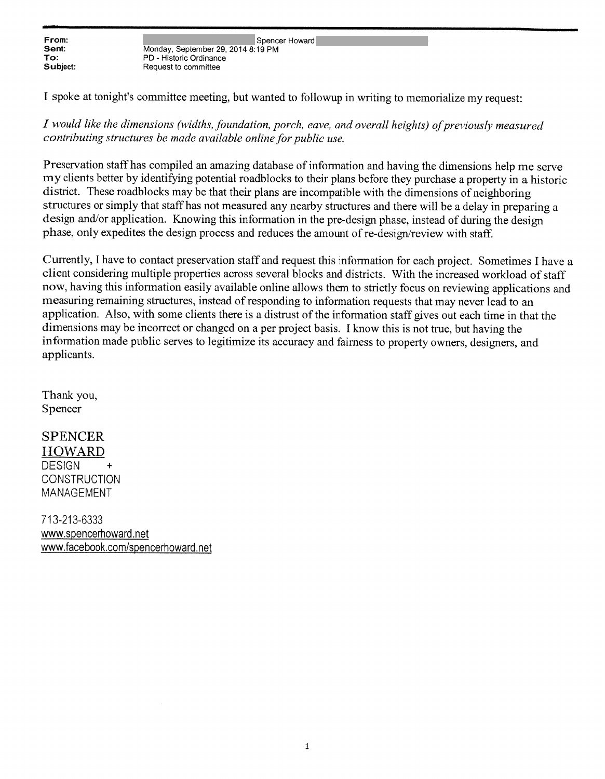From: Spencer Howard<br>
Sent: Sentember 29, 2014 8:19 PM<br>
Monday Sentember 29, 2014 8:19 PM Sent: Monday, September 29, 2014 8:19 PM<br>
To: PD - Historic Ordinance To: PD - Historic Ordinance<br>
Subject: Request to committee Request to committee

<sup>I</sup> spoke at tonight's committee meeting, but wanted to followup in writing to memorialize my request:

I would like the dimensions (widths, foundation, porch, eave, and overall heights) of previously measured contributing structures be made available online for public use.

Preservation staff has compiled an amazing database of information and having the dimensions help me serve my clients better by identifying potential roadblocks to their <sup>p</sup>lans before they purchase <sup>a</sup> property in <sup>a</sup> historic district. These roadblocks may be that their <sup>p</sup>lans are incompatible with the dimensions of neighboring structures or simply that staff has not measured any nearby structures and there will be <sup>a</sup> delay in preparing <sup>a</sup> design and/or application. Knowing this information in the pre-design <sup>p</sup>hase, instead of during the design <sup>p</sup>hase, only expedites the design process and reduces the amount of re-design/review with staff.

Currently, <sup>I</sup> have to contact preservation staff and reques<sup>t</sup> this information for each project. Sometimes <sup>I</sup> have <sup>a</sup> client considering multiple properties across several blocks and districts. With the increased workload of staff now, having this information easily available online allows them to strictly focus on reviewing applications and measuring remaining structures, instead of responding to information requests that may never lead to an application. Also, with some clients there is <sup>a</sup> distrust of the information staff <sup>g</sup>ives out each time in that the dimensions may be incorrect or changed on <sup>a</sup> per project basis. <sup>I</sup> know this is not true, but having the information made public serves to legitimize its accuracy and fairness to property owners, designers, and applicants.

Thank you, Spencer

**SPENCER HOWARD DESIGN CONSTRUCTION** MANAGEMENT

713-213-6333 www.sencerhoward net www.facebook.com/spencerhoward.net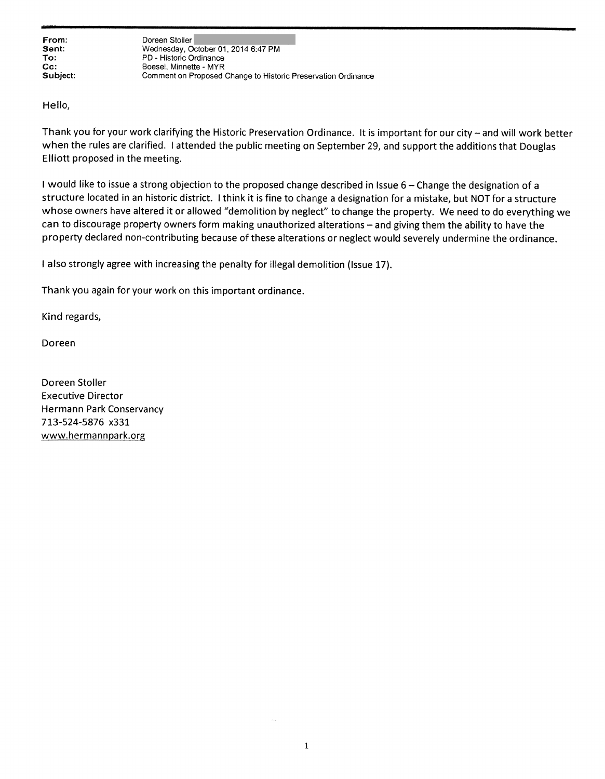From: Doreen Stoller Sent: Wednesday, October 01, 2014 6:47 PM<br>
To: PD - Historic Ordinance PD - Historic Ordinance Cc: Boesel, Minnette - MYR<br>
Subject: Comment on Proposed Comment on Proposed Change to Historic Preservation Ordinance

Hello,

Thank you for your work clarifying the Historic Preservation Ordinance. It is important for our city — and will work better when the rules are clarified. <sup>I</sup> attended the public meeting on September 29, and suppor<sup>t</sup> the additions that Douglas Elliott proposed in the meeting.

<sup>I</sup> would like to issue <sup>a</sup> strong objection to the propose<sup>d</sup> change described in Issue <sup>6</sup> — Change the designation of <sup>a</sup> structure located in an historic district. <sup>I</sup> think it is fine to change <sup>a</sup> designation for <sup>a</sup> mistake, but NOT for <sup>a</sup> structure whose owners have altered it or allowed "demolition by neglect" to change the property. We need to do everything we can to discourage property owners form making unauthorized alterations — and <sup>g</sup>iving them the ability to have the property declared non-contributing because of these alterations or neglect would severely undermine the ordinance.

<sup>I</sup> also strongly agree with increasing the penalty for illegal demolition (Issue 17).

Thank you again for your work on this important ordinance.

Kind regards,

Doreen

Doreen Stoller Executive Director Hermann Park Conservancy 713-524-5876 x331 www.hermannpark.org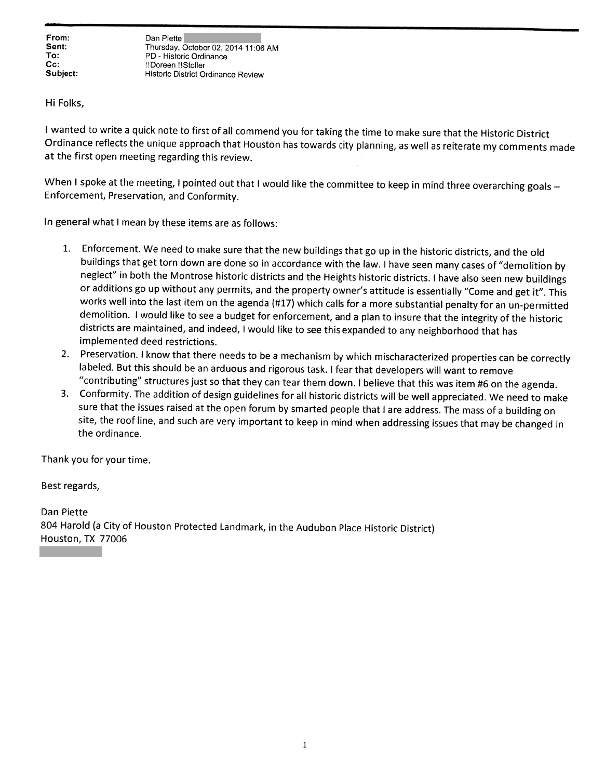From: Dan Piette<br>
Sent: Thursday, October 02, 2014 11:06 AM<br>
To: PD - Historic Ordinance PD - Historic Ordinance Cc: !!Doreen !!Stoller Historic District Ordinance Review

Hi Folks,

<sup>I</sup> wanted to write <sup>a</sup> quick note to first of all commend you for taking the time to make sure that the Historic District Ordinance reflects the unique approach that Houston has towards city <sup>p</sup>lanning, as well as reiterate my comments made at the first open meeting regarding this review.

When I spoke at the meeting, I pointed out that I would like the committee to keep in mind three overarching goals -<br>Enforcement, Preservation, and Conformity.

In general what <sup>I</sup> mean by these items are as follows:

- 1. Enforcement. We need to make sure that the new buildings that go up in the historic districts, and the old buildings that get torn down are done so in accordance with the law. <sup>I</sup> have seen many cases of "demolition by neglect" in both the Montrose historic districts and the Heights historic districts. <sup>I</sup> have also seen new buildings or additions go up without any permits, and the property owner's attitude is essentially "Come and get it". This<br>works well into the last item on the agenda (#17) which calls for a more substantial penalty for an un-permit demolition. I would like to see a budget for enforcement, and a plan to insure that the integrity of the historic districts are maintained, and indeed, <sup>I</sup> would like to see this expanded to any neighborhood that has implemented deed restrictions.
- 2. Preservation. <sup>I</sup> know that there needs to be <sup>a</sup> mechanism by which mischaracterized properties can be correctly labeled. But this should be an arduous and rigorous task. <sup>I</sup> fear that developers will want to remove "contributing" structures just so that they can tear them down. <sup>I</sup> believe that this was item #6 on the agenda.
- 3. Conformity. The addition of design guidelines for all historic districts will be well appreciated. We need to make sure that the issues raised at the open forum by smarted people that <sup>I</sup> are address. The mass of <sup>a</sup> building on site, the roof line, and such are very important to keep in mind when addressing issues that may be changed in the ordinance.

Thank you for your time.

Best regards,

Dan Piette <sup>804</sup> Harold (a City of Houston Protected Landmark, in the Audubon Place Historic District) Houston, TX 77006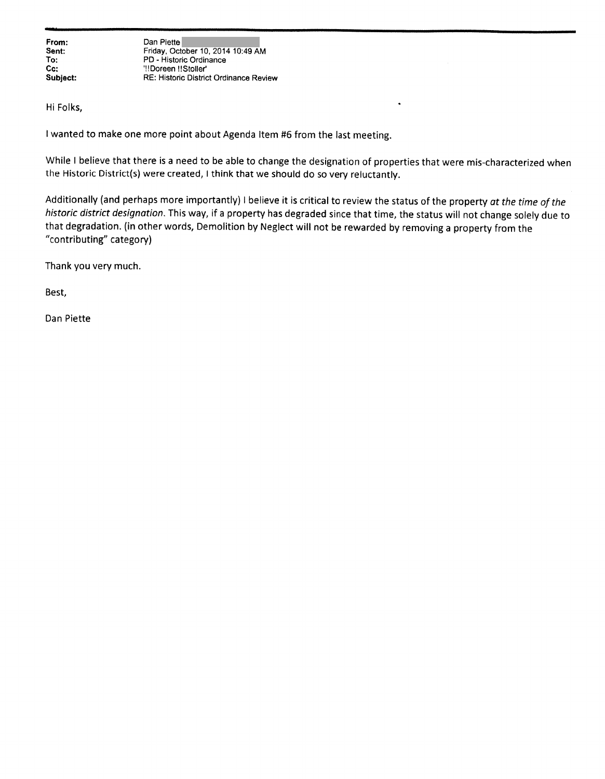From: Dan Piette<br>Sent: Friday, Oct Sent: Friday, October 10, 2014 10:49 AM<br>
To: PD - Historic Ordinance PD - Historic Ordinance Cc: "!!Doreen !!Stoller' Subject: RE: Historic District Ordinance Review

Hi Folks,

<sup>I</sup> wanted to make one more point about Agenda Item #6 from the last meeting.

While <sup>I</sup> believe that there is <sup>a</sup> need to be able to change the designation of properties that were mis-characterized when the Historic District(s) were created, <sup>I</sup> think that we should do so very reluctantly.

Additionally (and perhaps more importantly) I believe it is critical to review the status of the property at the time of the historic district designation. This way, if <sup>a</sup> property has degraded since that time, the status will not change solely due to that degradation. (in other words, Demolition by Neglect will not be rewarded by removing <sup>a</sup> property from the "contributing" category)

Thank you very much.

Best,

Dan Piette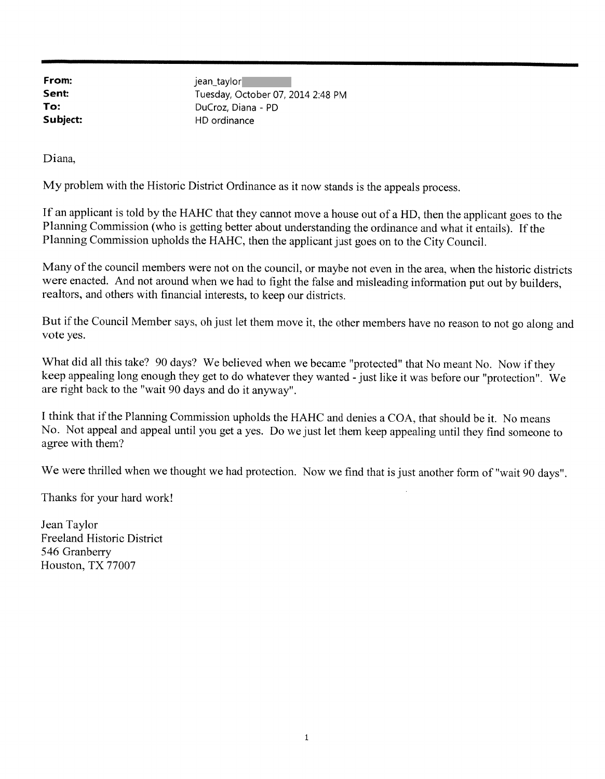**From:** jean\_taylor<br>**Sent:** Tuesday Octob Tuesday, October 07, 2014 2:48 PM To: DuCroz, Diana - PD Subject: HD ordinance

Diana,

My problem with the Historic District Ordinance as it now stands is the appeals process.

If an applicant is told by the HAHC that they cannot move <sup>a</sup> house out of <sup>a</sup> HD, then the applicant goes to the Planning Commission (who is getting better about understanding the ordinance and what it entails). If the Planning Commission upholds the HAHC, then the applicant just goes on to the City Council.

Many of the council members were not on the council, or maybe not even in the area, when the historic districts were enacted. And not around when we had to fight the false and misleading information put out by builders, realtors, and others with financial interests, to keep our districts.

But if the Council Member says, oh just let them move it, the other members have no reason to not go along and vote yes.

What did all this take? 90 days? We believed when we became "protected" that No meant No. Now if they keep appealing long enoug<sup>h</sup> they get to do whatever they wanted - just like it was before our "protection". We are right back to the "wait <sup>90</sup> days and do it anyway".

I think that if the Planning Commission upholds the HAHC and denies a COA, that should be it. No means No. Not appeal and appeal until you get <sup>a</sup> yes. Do we just let them keep appealing until they find someone to agree with them?

We were thrilled when we thought we had protection. Now we find that is just another form of "wait 90 days".

Thanks for your hard work!

Jean Taylor Freeland Historic District 546 Granberry Houston, TX 77007